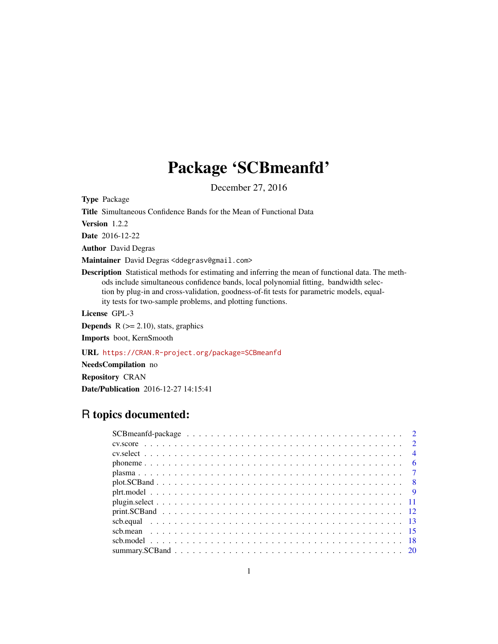# Package 'SCBmeanfd'

December 27, 2016

<span id="page-0-0"></span>Type Package

Title Simultaneous Confidence Bands for the Mean of Functional Data

Version 1.2.2

Date 2016-12-22

Author David Degras

Maintainer David Degras <ddegrasv@gmail.com>

Description Statistical methods for estimating and inferring the mean of functional data. The methods include simultaneous confidence bands, local polynomial fitting, bandwidth selection by plug-in and cross-validation, goodness-of-fit tests for parametric models, equality tests for two-sample problems, and plotting functions.

License GPL-3

**Depends**  $R$  ( $>= 2.10$ ), stats, graphics

Imports boot, KernSmooth

URL <https://CRAN.R-project.org/package=SCBmeanfd>

NeedsCompilation no

Repository CRAN Date/Publication 2016-12-27 14:15:41

# R topics documented: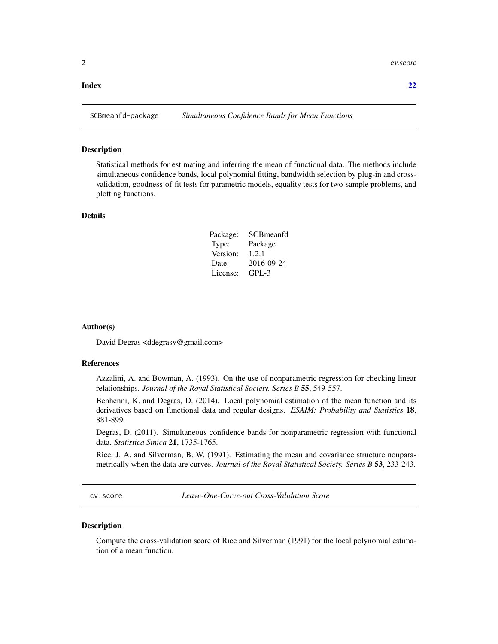#### <span id="page-1-0"></span>**Index** [22](#page-21-0)

#### Description

Statistical methods for estimating and inferring the mean of functional data. The methods include simultaneous confidence bands, local polynomial fitting, bandwidth selection by plug-in and crossvalidation, goodness-of-fit tests for parametric models, equality tests for two-sample problems, and plotting functions.

# Details

| Package: | SCBmeanfd  |
|----------|------------|
| Type:    | Package    |
| Version: | 1.2.1      |
| Date:    | 2016-09-24 |
| License: | $GPI - 3$  |

#### Author(s)

David Degras <ddegrasv@gmail.com>

# References

Azzalini, A. and Bowman, A. (1993). On the use of nonparametric regression for checking linear relationships. *Journal of the Royal Statistical Society. Series B* 55, 549-557.

Benhenni, K. and Degras, D. (2014). Local polynomial estimation of the mean function and its derivatives based on functional data and regular designs. *ESAIM: Probability and Statistics* 18, 881-899.

Degras, D. (2011). Simultaneous confidence bands for nonparametric regression with functional data. *Statistica Sinica* 21, 1735-1765.

Rice, J. A. and Silverman, B. W. (1991). Estimating the mean and covariance structure nonparametrically when the data are curves. *Journal of the Royal Statistical Society. Series B* 53, 233-243.

<span id="page-1-1"></span>cv.score *Leave-One-Curve-out Cross-Validation Score*

# Description

Compute the cross-validation score of Rice and Silverman (1991) for the local polynomial estimation of a mean function.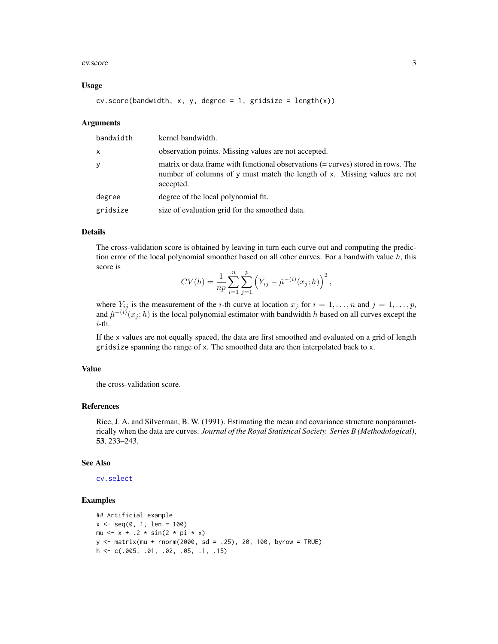#### <span id="page-2-0"></span>cv.score 3

# Usage

```
cv.score(bandwidth, x, y, degree = 1, gridsize = length(x))
```
### Arguments

| bandwidth | kernel bandwidth.                                                                                                                                                          |
|-----------|----------------------------------------------------------------------------------------------------------------------------------------------------------------------------|
| x         | observation points. Missing values are not accepted.                                                                                                                       |
| y         | matrix or data frame with functional observations (= curves) stored in rows. The<br>number of columns of y must match the length of x. Missing values are not<br>accepted. |
| degree    | degree of the local polynomial fit.                                                                                                                                        |
| gridsize  | size of evaluation grid for the smoothed data.                                                                                                                             |

# Details

The cross-validation score is obtained by leaving in turn each curve out and computing the prediction error of the local polynomial smoother based on all other curves. For a bandwith value  $h$ , this score is

$$
CV(h) = \frac{1}{np} \sum_{i=1}^{n} \sum_{j=1}^{p} (Y_{ij} - \hat{\mu}^{-(i)}(x_j; h))^{2},
$$

where  $Y_{ij}$  is the measurement of the *i*-th curve at location  $x_j$  for  $i = 1, \ldots, n$  and  $j = 1, \ldots, p$ , and  $\hat{\mu}^{-(i)}(x_j; h)$  is the local polynomial estimator with bandwidth h based on all curves except the i-th.

If the x values are not equally spaced, the data are first smoothed and evaluated on a grid of length gridsize spanning the range of x. The smoothed data are then interpolated back to x.

# Value

the cross-validation score.

#### References

Rice, J. A. and Silverman, B. W. (1991). Estimating the mean and covariance structure nonparametrically when the data are curves. *Journal of the Royal Statistical Society. Series B (Methodological)*, 53, 233–243.

#### See Also

[cv.select](#page-3-1)

```
## Artificial example
x \le - \text{seq}(0, 1, \text{ len} = 100)mu \leftarrow x + .2 * sin(2 * pi * x)
y \le - matrix(mu + rnorm(2000, sd = .25), 20, 100, byrow = TRUE)
h <- c(.005, .01, .02, .05, .1, .15)
```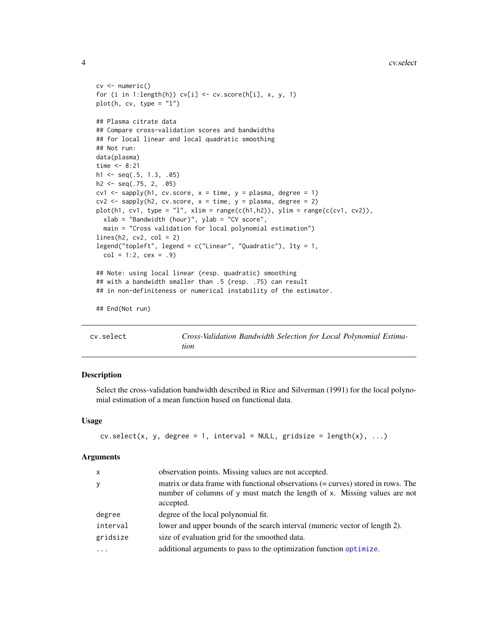```
cv <- numeric()
for (i in 1:length(h)) cv[i] \leftarrow cv \text{.score}(h[i], x, y, 1)plot(h, cv, type = "l")## Plasma citrate data
## Compare cross-validation scores and bandwidths
## for local linear and local quadratic smoothing
## Not run:
data(plasma)
time <-8:21h1 <- seq(.5, 1.3, .05)
h2 <- seq(.75, 2, .05)
cv1 \leq sapply(h1, cv.score, x = time, y = plasma, degree = 1)
cv2 \leq sapply(h2, cv.score, x = time, y = plasma, degree = 2)plot(h1, cv1, type = "l", xlim = range(c(h1,h2)), ylim = range(c(cv1, cv2)),
  xlab = "Bandwidth (hour)", ylab = "CV score",
  main = "Cross validation for local polynomial estimation")
lines(h2, cv2, col = 2)legend("topleft", legend = c("Linear", "Quadratic"), lty = 1,
  col = 1:2, cex = .9## Note: using local linear (resp. quadratic) smoothing
## with a bandwidth smaller than .5 (resp. .75) can result
## in non-definiteness or numerical instability of the estimator.
## End(Not run)
```
<span id="page-3-1"></span>cv.select *Cross-Validation Bandwidth Selection for Local Polynomial Estimation*

# Description

Select the cross-validation bandwidth described in Rice and Silverman (1991) for the local polynomial estimation of a mean function based on functional data.

# Usage

```
cv.select(x, y, degree = 1, interval = NULL, gridsize = length(x), ...)
```

| $\mathsf{x}$ | observation points. Missing values are not accepted.                                                                                                                       |
|--------------|----------------------------------------------------------------------------------------------------------------------------------------------------------------------------|
| y            | matrix or data frame with functional observations (= curves) stored in rows. The<br>number of columns of y must match the length of x. Missing values are not<br>accepted. |
| degree       | degree of the local polynomial fit.                                                                                                                                        |
| interval     | lower and upper bounds of the search interval (numeric vector of length 2).                                                                                                |
| gridsize     | size of evaluation grid for the smoothed data.                                                                                                                             |
|              | additional arguments to pass to the optimization function optimize.                                                                                                        |

<span id="page-3-0"></span>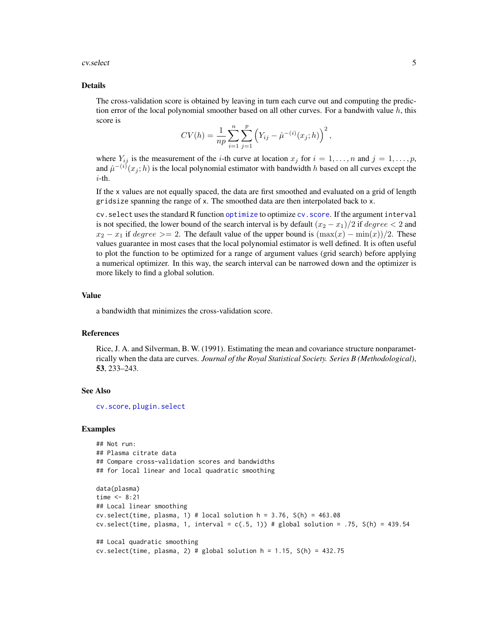#### <span id="page-4-0"></span>cv.select 5

#### Details

The cross-validation score is obtained by leaving in turn each curve out and computing the prediction error of the local polynomial smoother based on all other curves. For a bandwith value  $h$ , this score is

$$
CV(h) = \frac{1}{np} \sum_{i=1}^{n} \sum_{j=1}^{p} (Y_{ij} - \hat{\mu}^{-(i)}(x_j; h))^{2},
$$

where  $Y_{ij}$  is the measurement of the *i*-th curve at location  $x_j$  for  $i = 1, \ldots, n$  and  $j = 1, \ldots, p$ , and  $\hat{\mu}^{-(i)}(x_j; h)$  is the local polynomial estimator with bandwidth h based on all curves except the i-th.

If the x values are not equally spaced, the data are first smoothed and evaluated on a grid of length gridsize spanning the range of x. The smoothed data are then interpolated back to x.

cv.select uses the standard R function [optimize](#page-0-0) to optimize [cv.score](#page-1-1). If the argument interval is not specified, the lower bound of the search interval is by default  $(x_2 - x_1)/2$  if  $degree < 2$  and  $x_2 - x_1$  if degree >= 2. The default value of the upper bound is  $(\max(x) - \min(x))/2$ . These values guarantee in most cases that the local polynomial estimator is well defined. It is often useful to plot the function to be optimized for a range of argument values (grid search) before applying a numerical optimizer. In this way, the search interval can be narrowed down and the optimizer is more likely to find a global solution.

# Value

a bandwidth that minimizes the cross-validation score.

# References

Rice, J. A. and Silverman, B. W. (1991). Estimating the mean and covariance structure nonparametrically when the data are curves. *Journal of the Royal Statistical Society. Series B (Methodological)*, 53, 233–243.

# See Also

[cv.score](#page-1-1), [plugin.select](#page-10-1)

```
## Not run:
## Plasma citrate data
## Compare cross-validation scores and bandwidths
## for local linear and local quadratic smoothing
data(plasma)
time <-8:21## Local linear smoothing
cv.select(time, plasma, 1) # local solution h = 3.76, S(h) = 463.08cv.select(time, plasma, 1, interval = c(.5, 1)) # global solution = .75, S(h) = 439.54
## Local quadratic smoothing
cv.select(time, plasma, 2) # global solution h = 1.15, S(h) = 432.75
```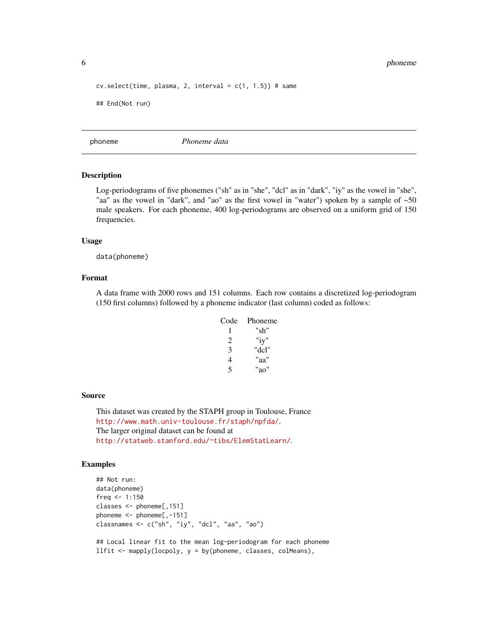<span id="page-5-0"></span>6 phonemetry of the state of the state of the state of the state of the state of the state of the state of the state of the state of the state of the state of the state of the state of the state of the state of the state o

```
cv.\text{select}(\text{time}, \text{plasma}, 2, \text{interval} = c(1, 1.5)) # same
## End(Not run)
```
phoneme *Phoneme data*

### Description

Log-periodograms of five phonemes ("sh" as in "she", "dcl" as in "dark", "iy" as the vowel in "she", "aa" as the vowel in "dark", and "ao" as the first vowel in "water") spoken by a sample of  $\sim 50$ male speakers. For each phoneme, 400 log-periodograms are observed on a uniform grid of 150 frequencies.

#### Usage

data(phoneme)

# Format

A data frame with 2000 rows and 151 columns. Each row contains a discretized log-periodogram (150 first columns) followed by a phoneme indicator (last column) coded as follows:

| Code | Phoneme |
|------|---------|
|      | "sh"    |
| 2    | "iy"    |
| 3    | "dcl"   |
| 4    | "aa"    |
| 5    | "ao"    |

#### Source

This dataset was created by the STAPH group in Toulouse, France <http://www.math.univ-toulouse.fr/staph/npfda/>. The larger original dataset can be found at <http://statweb.stanford.edu/~tibs/ElemStatLearn/>.

# Examples

```
## Not run:
data(phoneme)
freq <-1:150classes <- phoneme[,151]
phoneme <- phoneme[,-151]
classnames <- c("sh", "iy", "dcl", "aa", "ao")
## Local linear fit to the mean log-periodogram for each phoneme
```
llfit  $\leq$  mapply(locpoly,  $y = by(phoneme, classes, colMeans)$ ,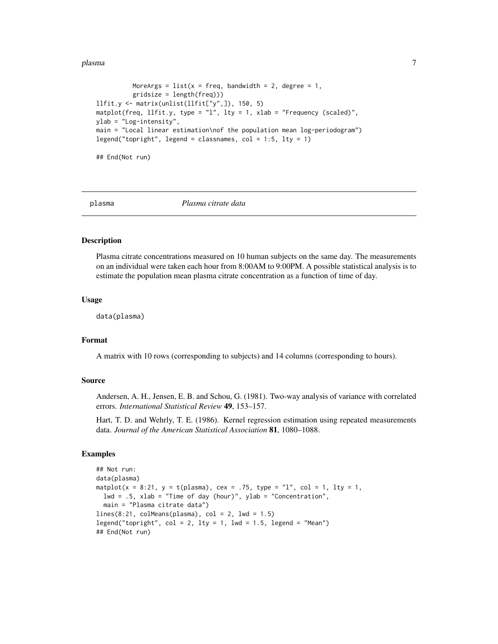#### <span id="page-6-0"></span>plasma and the contract of the contract of the contract of the contract of the contract of the contract of the contract of the contract of the contract of the contract of the contract of the contract of the contract of the

```
MoreArgs = list(x = freq, bandwidth = 2, degree = 1,gridsize = length(freq)))
llfit.y <- matrix(unlist(llfit["y",]), 150, 5)
matplot(freq, llfit.y, type = "l", lty = 1, xlab = "Frequency (scaled)",
ylab = "Log-intensity",
main = "Local linear estimation\nof the population mean log-periodogram")
legend("topright", legend = classnames, col = 1:5, lty = 1)
```
## End(Not run)

plasma *Plasma citrate data*

# Description

Plasma citrate concentrations measured on 10 human subjects on the same day. The measurements on an individual were taken each hour from 8:00AM to 9:00PM. A possible statistical analysis is to estimate the population mean plasma citrate concentration as a function of time of day.

# Usage

data(plasma)

# Format

A matrix with 10 rows (corresponding to subjects) and 14 columns (corresponding to hours).

# Source

Andersen, A. H., Jensen, E. B. and Schou, G. (1981). Two-way analysis of variance with correlated errors. *International Statistical Review* 49, 153–157.

Hart, T. D. and Wehrly, T. E. (1986). Kernel regression estimation using repeated measurements data. *Journal of the American Statistical Association* 81, 1080–1088.

```
## Not run:
data(plasma)
matplot(x = 8:21, y = t(plasma), cex = .75, type = "l", col = 1, lty = 1,
 lwd = .5, xlab = "Time of day (hour)", ylab = "Concentration",
 main = "Plasma citrate data")
lines(8:21, colMeans(plasma), col = 2, lwd = 1.5)legend("topright", col = 2, lty = 1, lwd = 1.5, legend = "Mean")## End(Not run)
```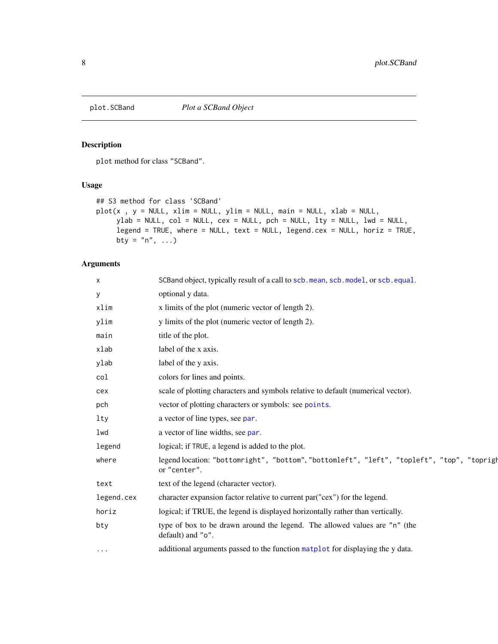<span id="page-7-1"></span><span id="page-7-0"></span>

# Description

plot method for class "SCBand".

# Usage

```
## S3 method for class 'SCBand'
plot(x, y = NULL, xlim = NULL, ylim = NULL, main = NULL, xlab = NULL,ylab = NULL, col = NULL, cex = NULL, pch = NULL, lty = NULL, lwd = NULL,
     legend = TRUE, where = NULL, text = NULL, legend.cex = NULL, horiz = TRUE,
    bty = "n", \ldots)
```

| X          | SCBand object, typically result of a call to scb.mean, scb.model, or scb.equal.                            |
|------------|------------------------------------------------------------------------------------------------------------|
| У          | optional y data.                                                                                           |
| xlim       | x limits of the plot (numeric vector of length 2).                                                         |
| ylim       | y limits of the plot (numeric vector of length 2).                                                         |
| main       | title of the plot.                                                                                         |
| xlab       | label of the x axis.                                                                                       |
| ylab       | label of the y axis.                                                                                       |
| col        | colors for lines and points.                                                                               |
| cex        | scale of plotting characters and symbols relative to default (numerical vector).                           |
| pch        | vector of plotting characters or symbols: see points.                                                      |
| $1$ ty     | a vector of line types, see par.                                                                           |
| lwd        | a vector of line widths, see par.                                                                          |
| legend     | logical; if TRUE, a legend is added to the plot.                                                           |
| where      | legend location: "bottomright", "bottom", "bottomleft", "left", "topleft", "top", "toprigh<br>or "center". |
| text       | text of the legend (character vector).                                                                     |
| legend.cex | character expansion factor relative to current par ("cex") for the legend.                                 |
| horiz      | logical; if TRUE, the legend is displayed horizontally rather than vertically.                             |
| bty        | type of box to be drawn around the legend. The allowed values are "n" (the<br>default) and "o".            |
| $\cdots$   | additional arguments passed to the function matplot for displaying the y data.                             |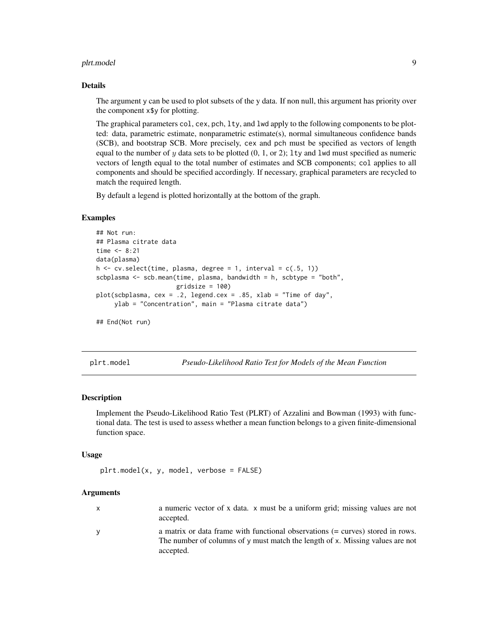#### <span id="page-8-0"></span>plrt.model 9

#### Details

The argument y can be used to plot subsets of the y data. If non null, this argument has priority over the component x\$y for plotting.

The graphical parameters col, cex, pch, lty, and lwd apply to the following components to be plotted: data, parametric estimate, nonparametric estimate(s), normal simultaneous confidence bands (SCB), and bootstrap SCB. More precisely, cex and pch must be specified as vectors of length equal to the number of y data sets to be plotted  $(0, 1, or 2)$ ; lty and lwd must specified as numeric vectors of length equal to the total number of estimates and SCB components; col applies to all components and should be specified accordingly. If necessary, graphical parameters are recycled to match the required length.

By default a legend is plotted horizontally at the bottom of the graph.

# Examples

```
## Not run:
## Plasma citrate data
time <-8:21data(plasma)
h \leq -cv.select(time, plasma, degree = 1, interval = c(.5, 1))
scbplasma <- scb.mean(time, plasma, bandwidth = h, scbtype = "both",
                      gridsize = 100)
plot(scbplasma, cex = .2, legend.cex = .85, xlab = "Time of day",
     ylab = "Concentration", main = "Plasma citrate data")
```
## End(Not run)

plrt.model *Pseudo-Likelihood Ratio Test for Models of the Mean Function*

### Description

Implement the Pseudo-Likelihood Ratio Test (PLRT) of Azzalini and Bowman (1993) with functional data. The test is used to assess whether a mean function belongs to a given finite-dimensional function space.

# Usage

```
plrt.model(x, y, model, verbose = FALSE)
```
- x a numeric vector of x data. x must be a uniform grid; missing values are not accepted.
- y a matrix or data frame with functional observations (= curves) stored in rows. The number of columns of y must match the length of x. Missing values are not accepted.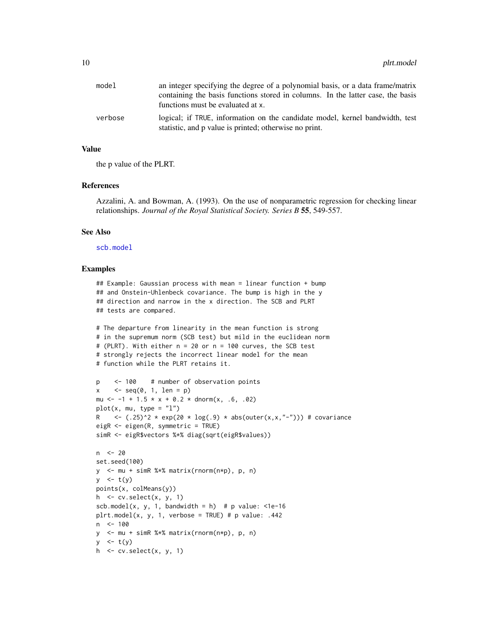<span id="page-9-0"></span>

| model   | an integer specifying the degree of a polynomial basis, or a data frame/matrix                                                         |
|---------|----------------------------------------------------------------------------------------------------------------------------------------|
|         | containing the basis functions stored in columns. In the latter case, the basis                                                        |
|         | functions must be evaluated at x.                                                                                                      |
| verbose | logical; if TRUE, information on the candidate model, kernel bandwidth, test<br>statistic, and p value is printed; otherwise no print. |

# Value

the p value of the PLRT.

# References

Azzalini, A. and Bowman, A. (1993). On the use of nonparametric regression for checking linear relationships. *Journal of the Royal Statistical Society. Series B* 55, 549-557.

# See Also

[scb.model](#page-17-1)

```
## Example: Gaussian process with mean = linear function + bump
## and Onstein-Uhlenbeck covariance. The bump is high in the y
## direction and narrow in the x direction. The SCB and PLRT
## tests are compared.
# The departure from linearity in the mean function is strong
# in the supremum norm (SCB test) but mild in the euclidean norm
# (PLRT). With either n = 20 or n = 100 curves, the SCB test
# strongly rejects the incorrect linear model for the mean
# function while the PLRT retains it.
p <- 100 # number of observation points
x \leq -\text{seq}(0, 1, \text{len} = p)mu \le -1 + 1.5 \times x + 0.2 \times \text{dnorm}(x, .6, .02)plot(x, mu, type = "l")R <- (.25)^2 * exp(20 * log(.9) * abs(outer(x,x,"-"))) # covariance
eigR <- eigen(R, symmetric = TRUE)
simR <- eigR$vectors %*% diag(sqrt(eigR$values))
n <- 20
set.seed(100)
y <- mu + simR %*% matrix(rnorm(n*p), p, n)
y \le -t(y)points(x, colMeans(y))
h \le cv. select(x, y, 1)
scb.model(x, y, 1, bandwidth = h) # p value: \le1e-16
plt.model(x, y, 1, verbose = TRUE) # p value: .442n <- 100
y <- mu + simR %*% matrix(rnorm(n*p), p, n)
y \le -t(y)h \leq cv. select(x, y, 1)
```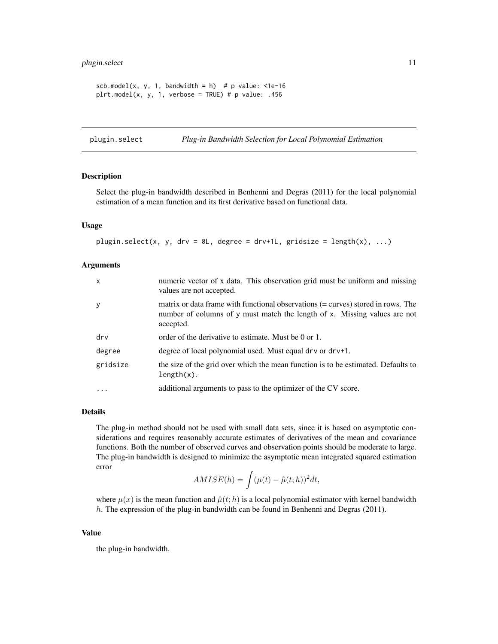# <span id="page-10-0"></span>plugin.select 11

```
scb.model(x, y, 1, bandwidth = h) # p value: \leq 1e-16plt.model(x, y, 1, verbose = TRUE) # p value: .456
```
<span id="page-10-1"></span>plugin.select *Plug-in Bandwidth Selection for Local Polynomial Estimation*

# Description

Select the plug-in bandwidth described in Benhenni and Degras (2011) for the local polynomial estimation of a mean function and its first derivative based on functional data.

# Usage

```
plugin.select(x, y, drv = 0L, degree = drv+1L, gridsize = length(x), ...)
```
# Arguments

| $\mathsf{x}$ | numeric vector of x data. This observation grid must be uniform and missing<br>values are not accepted.                                                                    |
|--------------|----------------------------------------------------------------------------------------------------------------------------------------------------------------------------|
| y            | matrix or data frame with functional observations (= curves) stored in rows. The<br>number of columns of y must match the length of x. Missing values are not<br>accepted. |
| drv          | order of the derivative to estimate. Must be 0 or 1.                                                                                                                       |
| degree       | degree of local polynomial used. Must equal dry or dry+1.                                                                                                                  |
| gridsize     | the size of the grid over which the mean function is to be estimated. Defaults to<br>$length(x)$ .                                                                         |
| $\ddotsc$    | additional arguments to pass to the optimizer of the CV score.                                                                                                             |

# Details

The plug-in method should not be used with small data sets, since it is based on asymptotic considerations and requires reasonably accurate estimates of derivatives of the mean and covariance functions. Both the number of observed curves and observation points should be moderate to large. The plug-in bandwidth is designed to minimize the asymptotic mean integrated squared estimation error

$$
AMISE(h) = \int (\mu(t) - \hat{\mu}(t; h))^2 dt,
$$

where  $\mu(x)$  is the mean function and  $\hat{\mu}(t; h)$  is a local polynomial estimator with kernel bandwidth h. The expression of the plug-in bandwidth can be found in Benhenni and Degras (2011).

# Value

the plug-in bandwidth.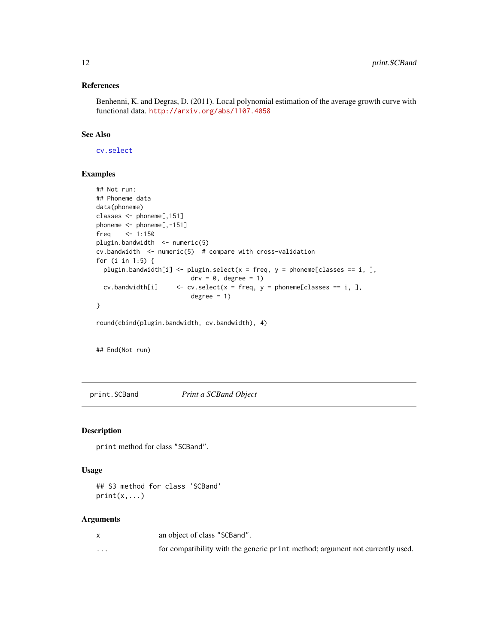# <span id="page-11-0"></span>References

Benhenni, K. and Degras, D. (2011). Local polynomial estimation of the average growth curve with functional data. <http://arxiv.org/abs/1107.4058>

# See Also

[cv.select](#page-3-1)

# Examples

```
## Not run:
## Phoneme data
data(phoneme)
classes <- phoneme[,151]
phoneme <- phoneme[,-151]
freq <-1:150plugin.bandwidth <- numeric(5)
cv.bandwidth <- numeric(5) # compare with cross-validation
for (i in 1:5) {
  plugin.bandwidth[i] <- plugin.select(x = freq, y = phoneme[classes == i, ],
                          \text{drv} = 0, degree = 1)
  cv.bandwidth[i] \leq cv. select(x = freq, y = phoneme[classes == i, ],
                          degree = 1)}
```
round(cbind(plugin.bandwidth, cv.bandwidth), 4)

## End(Not run)

<span id="page-11-1"></span>print.SCBand *Print a SCBand Object*

#### Description

print method for class "SCBand".

# Usage

## S3 method for class 'SCBand'  $print(x, \ldots)$ 

|          | an object of class "SCBand".                                                  |
|----------|-------------------------------------------------------------------------------|
| $\cdots$ | for compatibility with the generic print method; argument not currently used. |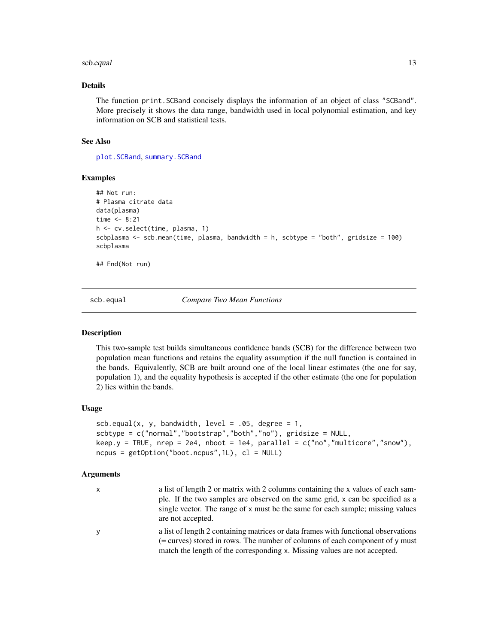#### <span id="page-12-0"></span>scb.equal 13

# Details

The function print.SCBand concisely displays the information of an object of class "SCBand". More precisely it shows the data range, bandwidth used in local polynomial estimation, and key information on SCB and statistical tests.

# See Also

[plot.SCBand](#page-7-1), [summary.SCBand](#page-19-1)

# Examples

```
## Not run:
# Plasma citrate data
data(plasma)
time <-8:21h <- cv.select(time, plasma, 1)
scbplasma <- scb.mean(time, plasma, bandwidth = h, scbtype = "both", gridsize = 100)
scbplasma
```
## End(Not run)

<span id="page-12-1"></span>scb.equal *Compare Two Mean Functions*

#### Description

This two-sample test builds simultaneous confidence bands (SCB) for the difference between two population mean functions and retains the equality assumption if the null function is contained in the bands. Equivalently, SCB are built around one of the local linear estimates (the one for say, population 1), and the equality hypothesis is accepted if the other estimate (the one for population 2) lies within the bands.

# Usage

```
scb.equal(x, y, bandwidth, level = .05, degree = 1,
scbtype = c("normal","bootstrap","both","no"), gridsize = NULL,
keep.y = TRUE, nrep = 2e4, nboot = 1e4, parallel = c("no", "multicore", "snow"),ncpus = getOption("boot.ncpus", 1L), cl = NULL)
```

| x | a list of length 2 or matrix with 2 columns containing the x values of each sam-<br>ple. If the two samples are observed on the same grid, x can be specified as a<br>single vector. The range of x must be the same for each sample; missing values<br>are not accepted. |
|---|---------------------------------------------------------------------------------------------------------------------------------------------------------------------------------------------------------------------------------------------------------------------------|
| ٧ | a list of length 2 containing matrices or data frames with functional observations<br>(= curves) stored in rows. The number of columns of each component of $\gamma$ must<br>match the length of the corresponding x. Missing values are not accepted.                    |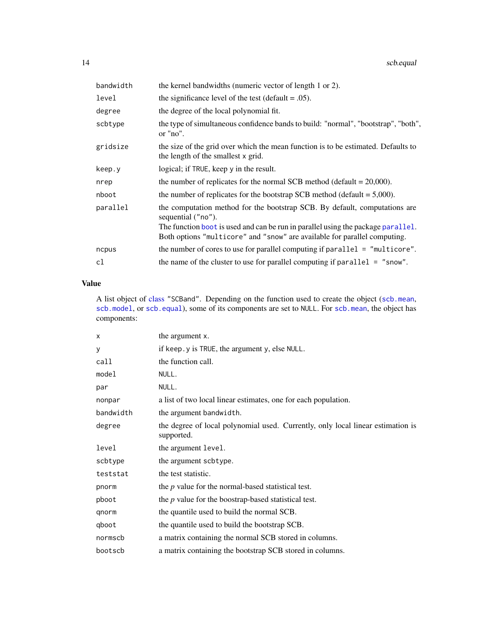<span id="page-13-0"></span>

| bandwidth | the kernel bandwidths (numeric vector of length 1 or 2).                                                                                                                                                                                                          |
|-----------|-------------------------------------------------------------------------------------------------------------------------------------------------------------------------------------------------------------------------------------------------------------------|
| level     | the significance level of the test (default = $.05$ ).                                                                                                                                                                                                            |
| degree    | the degree of the local polynomial fit.                                                                                                                                                                                                                           |
| scbtype   | the type of simultaneous confidence bands to build: "normal", "bootstrap", "both",<br>or "no".                                                                                                                                                                    |
| gridsize  | the size of the grid over which the mean function is to be estimated. Defaults to<br>the length of the smallest x grid.                                                                                                                                           |
| keep.y    | logical; if TRUE, keep y in the result.                                                                                                                                                                                                                           |
| nrep      | the number of replicates for the normal SCB method (default $= 20,000$ ).                                                                                                                                                                                         |
| nboot     | the number of replicates for the bootstrap SCB method (default $= 5,000$ ).                                                                                                                                                                                       |
| parallel  | the computation method for the bootstrap SCB. By default, computations are<br>sequential ("no").<br>The function boot is used and can be run in parallel using the package parallel.<br>Both options "multicore" and "snow" are available for parallel computing. |
|           |                                                                                                                                                                                                                                                                   |
| ncpus     | the number of cores to use for parallel computing if parallel = "multicore".                                                                                                                                                                                      |
| cl        | the name of the cluster to use for parallel computing if $parallel = "snow".$                                                                                                                                                                                     |

# Value

A list object of [class](#page-0-0) "SCBand". Depending on the function used to create the object ([scb.mean](#page-14-1), [scb.model](#page-17-1), or [scb.equal](#page-12-1)), some of its components are set to NULL. For [scb.mean](#page-14-1), the object has components:

| x         | the argument x.                                                                               |
|-----------|-----------------------------------------------------------------------------------------------|
| У         | if keep. y is TRUE, the argument y, else NULL.                                                |
| call      | the function call.                                                                            |
| model     | NULL.                                                                                         |
| par       | NULL.                                                                                         |
| nonpar    | a list of two local linear estimates, one for each population.                                |
| bandwidth | the argument bandwidth.                                                                       |
| degree    | the degree of local polynomial used. Currently, only local linear estimation is<br>supported. |
| level     | the argument level.                                                                           |
| scbtype   | the argument scbtype.                                                                         |
| teststat  | the test statistic.                                                                           |
| pnorm     | the $p$ value for the normal-based statistical test.                                          |
| pboot     | the $p$ value for the boostrap-based statistical test.                                        |
| qnorm     | the quantile used to build the normal SCB.                                                    |
| gboot     | the quantile used to build the bootstrap SCB.                                                 |
| normscb   | a matrix containing the normal SCB stored in columns.                                         |
| bootscb   | a matrix containing the bootstrap SCB stored in columns.                                      |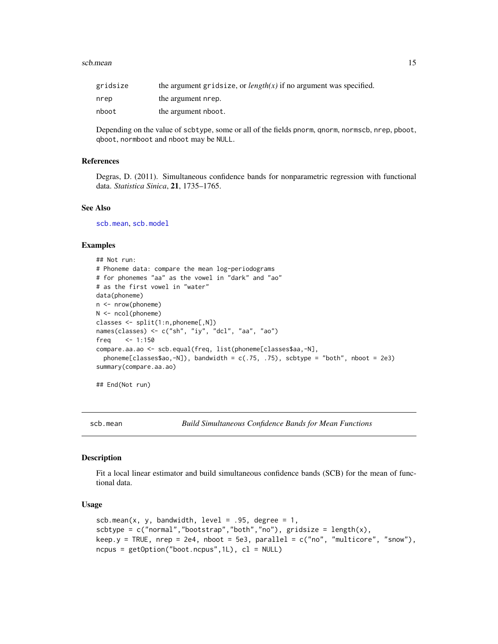#### <span id="page-14-0"></span>scb.mean 15

| gridsize | the argument gridsize, or $length(x)$ if no argument was specified. |
|----------|---------------------------------------------------------------------|
| nrep     | the argument nrep.                                                  |
| nboot    | the argument nboot.                                                 |

Depending on the value of scbtype, some or all of the fields pnorm, qnorm, normscb, nrep, pboot, qboot, normboot and nboot may be NULL.

# References

Degras, D. (2011). Simultaneous confidence bands for nonparametric regression with functional data. *Statistica Sinica*, 21, 1735–1765.

#### See Also

[scb.mean](#page-14-1), [scb.model](#page-17-1)

# Examples

```
## Not run:
# Phoneme data: compare the mean log-periodograms
# for phonemes "aa" as the vowel in "dark" and "ao"
# as the first vowel in "water"
data(phoneme)
n <- nrow(phoneme)
N <- ncol(phoneme)
classes <- split(1:n,phoneme[,N])
names(classes) <- c("sh", "iy", "dcl", "aa", "ao")
freq <- 1:150
compare.aa.ao <- scb.equal(freq, list(phoneme[classes$aa,-N],
 phoneme[classes$ao,-N]), bandwidth = c(.75, .75), scbtype = "both", nboot = 2e3)
summary(compare.aa.ao)
```
## End(Not run)

<span id="page-14-1"></span>scb.mean *Build Simultaneous Confidence Bands for Mean Functions*

### Description

Fit a local linear estimator and build simultaneous confidence bands (SCB) for the mean of functional data.

# Usage

```
scb.mean(x, y, bandwidth, level = .95, degree = 1,
scbtype = c("normal", "bootstrap", "both", "no"), gridsize = length(x),
keep.y = TRUE, nrep = 2e4, nboot = 5e3, parallel = c("no", "multicore", "snow"),ncpus = getOption("boot.ncpus",1L), cl = NULL)
```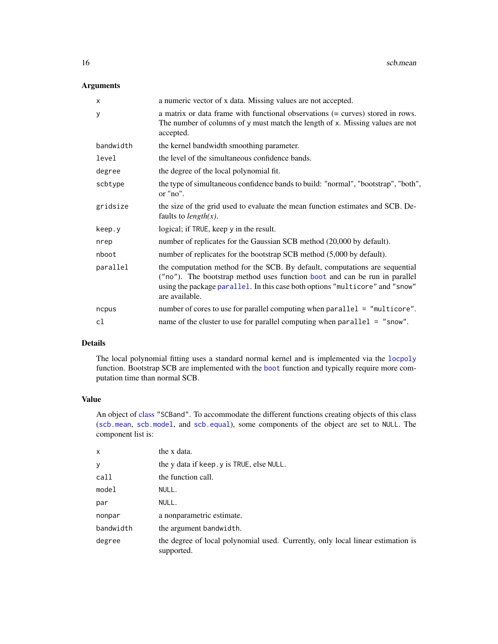# <span id="page-15-0"></span>Arguments

| X         | a numeric vector of x data. Missing values are not accepted.                                                                                                                                                                                                |  |
|-----------|-------------------------------------------------------------------------------------------------------------------------------------------------------------------------------------------------------------------------------------------------------------|--|
| У         | a matrix or data frame with functional observations (= curves) stored in rows.<br>The number of columns of y must match the length of x. Missing values are not<br>accepted.                                                                                |  |
| bandwidth | the kernel bandwidth smoothing parameter.                                                                                                                                                                                                                   |  |
| level     | the level of the simultaneous confidence bands.                                                                                                                                                                                                             |  |
| degree    | the degree of the local polynomial fit.                                                                                                                                                                                                                     |  |
| scbtype   | the type of simultaneous confidence bands to build: "normal", "bootstrap", "both",<br>or "no".                                                                                                                                                              |  |
| gridsize  | the size of the grid used to evaluate the mean function estimates and SCB. De-<br>faults to <i>length(x)</i> .                                                                                                                                              |  |
| keep.y    | logical; if TRUE, keep y in the result.                                                                                                                                                                                                                     |  |
| nrep      | number of replicates for the Gaussian SCB method (20,000 by default).                                                                                                                                                                                       |  |
| nboot     | number of replicates for the bootstrap SCB method (5,000 by default).                                                                                                                                                                                       |  |
| parallel  | the computation method for the SCB. By default, computations are sequential<br>("no"). The bootstrap method uses function boot and can be run in parallel<br>using the package parallel. In this case both options "multicore" and "snow"<br>are available. |  |
| ncpus     | number of cores to use for parallel computing when parallel = "multicore".                                                                                                                                                                                  |  |
| cl        | name of the cluster to use for parallel computing when parallel $=$ "snow".                                                                                                                                                                                 |  |

# Details

The local polynomial fitting uses a standard normal kernel and is implemented via the [locpoly](#page-0-0) function. Bootstrap SCB are implemented with the [boot](#page-0-0) function and typically require more computation time than normal SCB.

# Value

An object of [class](#page-0-0) "SCBand". To accommodate the different functions creating objects of this class ([scb.mean](#page-14-1), [scb.model](#page-17-1), and [scb.equal](#page-12-1)), some components of the object are set to NULL. The component list is:

| the x data.                                                                                   |  |
|-----------------------------------------------------------------------------------------------|--|
| the y data if keep. y is TRUE, else NULL.                                                     |  |
| the function call.                                                                            |  |
| NULL.                                                                                         |  |
| NULL.                                                                                         |  |
| a nonparametric estimate.                                                                     |  |
| the argument bandwidth.                                                                       |  |
| the degree of local polynomial used. Currently, only local linear estimation is<br>supported. |  |
|                                                                                               |  |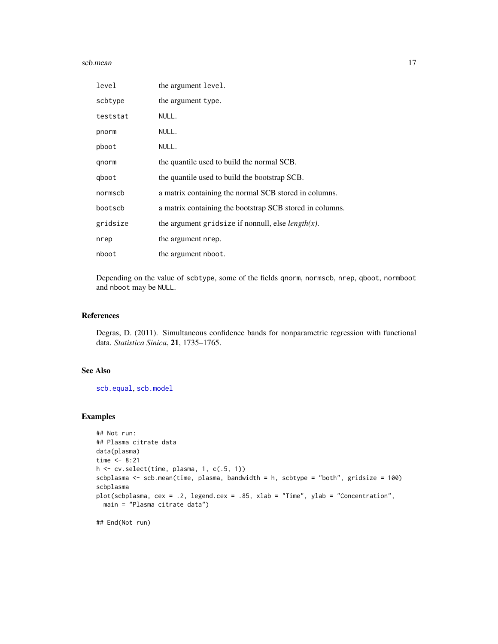#### <span id="page-16-0"></span>scb.mean 17

| level    | the argument level.                                       |
|----------|-----------------------------------------------------------|
| scbtype  | the argument type.                                        |
| teststat | NULL.                                                     |
| pnorm    | NULL.                                                     |
| pboot    | NULL.                                                     |
| qnorm    | the quantile used to build the normal SCB.                |
| gboot    | the quantile used to build the bootstrap SCB.             |
| normscb  | a matrix containing the normal SCB stored in columns.     |
| bootscb  | a matrix containing the bootstrap SCB stored in columns.  |
| gridsize | the argument gridsize if nonnull, else <i>length(x)</i> . |
| nrep     | the argument nrep.                                        |
| nboot    | the argument nboot.                                       |

Depending on the value of scbtype, some of the fields qnorm, normscb, nrep, qboot, normboot and nboot may be NULL.

# References

Degras, D. (2011). Simultaneous confidence bands for nonparametric regression with functional data. *Statistica Sinica*, 21, 1735–1765.

# See Also

[scb.equal](#page-12-1), [scb.model](#page-17-1)

```
## Not run:
## Plasma citrate data
data(plasma)
time < -8:21h <- cv.select(time, plasma, 1, c(.5, 1))
scbplasma <- scb.mean(time, plasma, bandwidth = h, scbtype = "both", gridsize = 100)
scbplasma
plot(scbplasma, cex = .2, legend.cex = .85, xlab = "Time", ylab = "Concentration",
 main = "Plasma citrate data")
## End(Not run)
```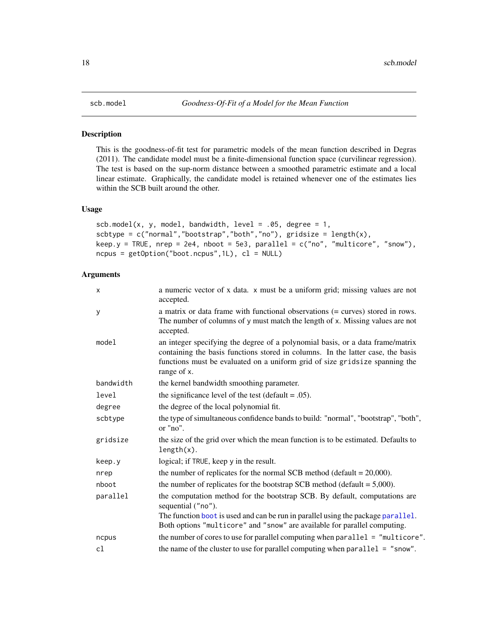# <span id="page-17-1"></span><span id="page-17-0"></span>Description

This is the goodness-of-fit test for parametric models of the mean function described in Degras (2011). The candidate model must be a finite-dimensional function space (curvilinear regression). The test is based on the sup-norm distance between a smoothed parametric estimate and a local linear estimate. Graphically, the candidate model is retained whenever one of the estimates lies within the SCB built around the other.

# Usage

```
scb.model(x, y, model, bandwidth, level = .05, degree = 1,
scbtype = c("normal", "bootstrap", "both", "no"), gridsize = length(x),
keep.y = TRUE, nrep = 2e4, nboot = 5e3, parallel = c("no", "multicore", "snow"),ncpus = getOption("boot.ncpus",1L), cl = NULL)
```

| $\boldsymbol{\mathsf{x}}$ | a numeric vector of x data. x must be a uniform grid; missing values are not<br>accepted.                                                                                                                                                                       |
|---------------------------|-----------------------------------------------------------------------------------------------------------------------------------------------------------------------------------------------------------------------------------------------------------------|
| У                         | a matrix or data frame with functional observations (= curves) stored in rows.<br>The number of columns of y must match the length of x. Missing values are not<br>accepted.                                                                                    |
| model                     | an integer specifying the degree of a polynomial basis, or a data frame/matrix<br>containing the basis functions stored in columns. In the latter case, the basis<br>functions must be evaluated on a uniform grid of size gridsize spanning the<br>range of x. |
| bandwidth                 | the kernel bandwidth smoothing parameter.                                                                                                                                                                                                                       |
| level                     | the significance level of the test (default = $.05$ ).                                                                                                                                                                                                          |
| degree                    | the degree of the local polynomial fit.                                                                                                                                                                                                                         |
| scbtype                   | the type of simultaneous confidence bands to build: "normal", "bootstrap", "both",<br>or "no".                                                                                                                                                                  |
| gridsize                  | the size of the grid over which the mean function is to be estimated. Defaults to<br>$length(x)$ .                                                                                                                                                              |
| keep.y                    | logical; if TRUE, keep y in the result.                                                                                                                                                                                                                         |
| nrep                      | the number of replicates for the normal SCB method (default $= 20,000$ ).                                                                                                                                                                                       |
| nboot                     | the number of replicates for the bootstrap SCB method (default $= 5,000$ ).                                                                                                                                                                                     |
| parallel                  | the computation method for the bootstrap SCB. By default, computations are<br>sequential ("no").                                                                                                                                                                |
|                           | The function boot is used and can be run in parallel using the package parallel.<br>Both options "multicore" and "snow" are available for parallel computing.                                                                                                   |
| ncpus                     | the number of cores to use for parallel computing when parallel = "multicore".                                                                                                                                                                                  |
| cl                        | the name of the cluster to use for parallel computing when $parallel = "snow".$                                                                                                                                                                                 |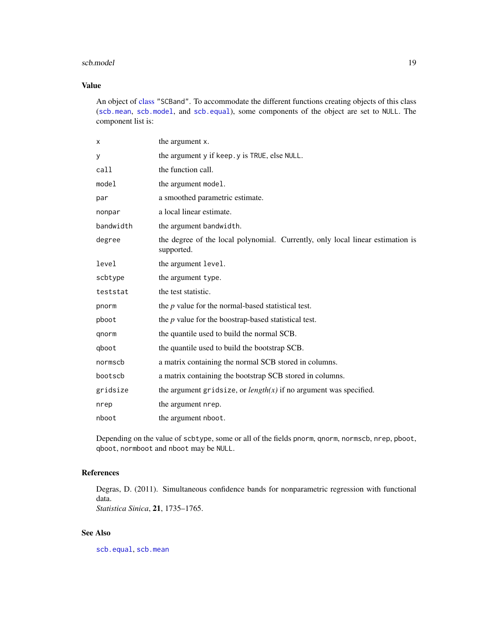#### <span id="page-18-0"></span>scb.model and the set of the set of the set of the set of the set of the set of the set of the set of the set of the set of the set of the set of the set of the set of the set of the set of the set of the set of the set of

# Value

An object of [class](#page-0-0) "SCBand". To accommodate the different functions creating objects of this class ([scb.mean](#page-14-1), [scb.model](#page-17-1), and [scb.equal](#page-12-1)), some components of the object are set to NULL. The component list is:

| X         | the argument x.                                                                              |
|-----------|----------------------------------------------------------------------------------------------|
| У         | the argument y if keep. y is TRUE, else NULL.                                                |
| call      | the function call.                                                                           |
| model     | the argument model.                                                                          |
| par       | a smoothed parametric estimate.                                                              |
| nonpar    | a local linear estimate.                                                                     |
| bandwidth | the argument bandwidth.                                                                      |
| degree    | the degree of the local polynomial. Currently, only local linear estimation is<br>supported. |
| level     | the argument level.                                                                          |
| scbtype   | the argument type.                                                                           |
| teststat  | the test statistic.                                                                          |
| pnorm     | the $p$ value for the normal-based statistical test.                                         |
| pboot     | the $p$ value for the boostrap-based statistical test.                                       |
| qnorm     | the quantile used to build the normal SCB.                                                   |
| qboot     | the quantile used to build the bootstrap SCB.                                                |
| normscb   | a matrix containing the normal SCB stored in columns.                                        |
| bootscb   | a matrix containing the bootstrap SCB stored in columns.                                     |
| gridsize  | the argument gridsize, or $length(x)$ if no argument was specified.                          |
| nrep      | the argument nrep.                                                                           |
| nboot     | the argument nboot.                                                                          |

Depending on the value of scbtype, some or all of the fields pnorm, qnorm, normscb, nrep, pboot, qboot, normboot and nboot may be NULL.

# References

Degras, D. (2011). Simultaneous confidence bands for nonparametric regression with functional data. *Statistica Sinica*, 21, 1735–1765.

# See Also

[scb.equal](#page-12-1), [scb.mean](#page-14-1)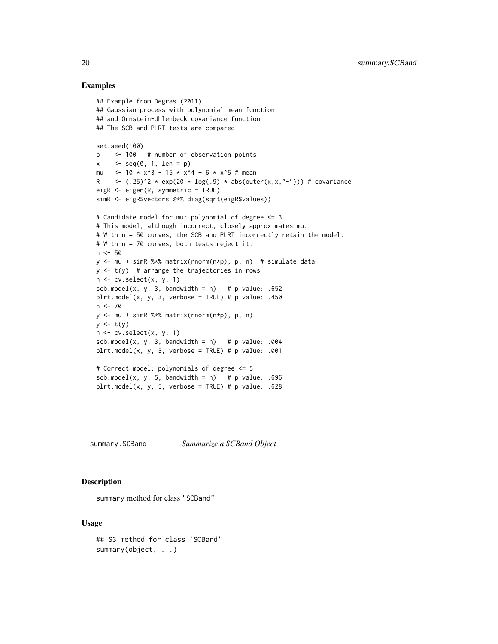# Examples

```
## Example from Degras (2011)
## Gaussian process with polynomial mean function
## and Ornstein-Uhlenbeck covariance function
## The SCB and PLRT tests are compared
set.seed(100)
p <- 100 # number of observation points
x \leq -seq(0, 1, len = p)mu <-10 \times x^3 - 15 \times x^4 + 6 \times x^5 + \text{mean}R \leftarrow (.25)^2 * exp(20 * log(.9) * abs(outer(x,x,"-"))) # covariance
eigR <- eigen(R, symmetric = TRUE)
simR <- eigR$vectors %*% diag(sqrt(eigR$values))
# Candidate model for mu: polynomial of degree <= 3
# This model, although incorrect, closely approximates mu.
# With n = 50 curves, the SCB and PLRT incorrectly retain the model.
# With n = 70 curves, both tests reject it.
n < -50y <- mu + simR %*% matrix(rnorm(n*p), p, n) # simulate data
y \le -t(y) # arrange the trajectories in rows
h \leftarrow cv.setect(x, y, 1)scb.model(x, y, 3, bandwidth = h) # p value: .652
plrt.model(x, y, 3, verbose = TRUE) # p value: .450
n <- 70
y <- mu + simR %*% matrix(rnorm(n*p), p, n)
y \leftarrow t(y)h \leftarrow cv.setect(x, y, 1)sch. model(x, y, 3, bandwidth = h) # p value: .004
plt_model(x, y, 3, verbose = TRUE) # p value: .001# Correct model: polynomials of degree <= 5
scb.model(x, y, 5, bandwidth = h) # p value: .696
plt_model(x, y, 5, verbose = TRUE) # p value: .628
```
<span id="page-19-1"></span>summary.SCBand *Summarize a SCBand Object*

# Description

summary method for class "SCBand"

# Usage

```
## S3 method for class 'SCBand'
summary(object, ...)
```
<span id="page-19-0"></span>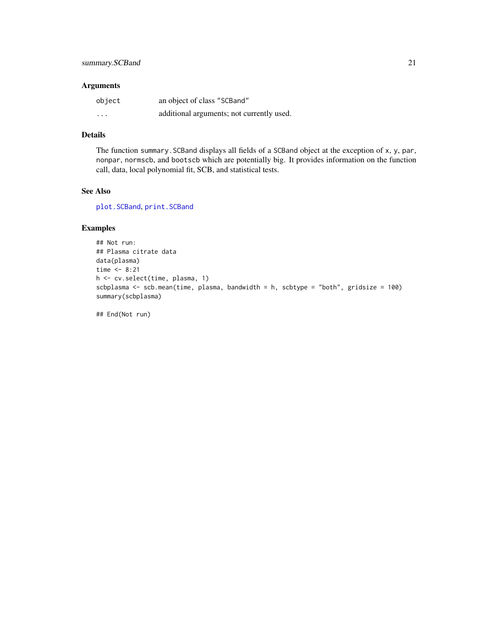# <span id="page-20-0"></span>Arguments

| object   | an object of class "SCBand"               |
|----------|-------------------------------------------|
| $\cdots$ | additional arguments; not currently used. |

# Details

The function summary.SCBand displays all fields of a SCBand object at the exception of x, y, par, nonpar, normscb, and bootscb which are potentially big. It provides information on the function call, data, local polynomial fit, SCB, and statistical tests.

# See Also

[plot.SCBand](#page-7-1), [print.SCBand](#page-11-1)

# Examples

```
## Not run:
## Plasma citrate data
data(plasma)
time <-8:21h <- cv.select(time, plasma, 1)
scbplasma <- scb.mean(time, plasma, bandwidth = h, scbtype = "both", gridsize = 100)
summary(scbplasma)
```
## End(Not run)